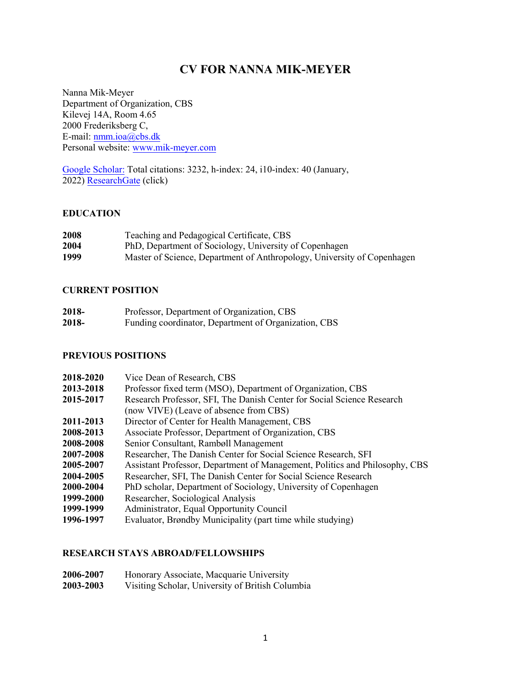# **CV FOR NANNA MIK-MEYER**

Nanna Mik-Meyer Department of Organization, CBS Kilevej 14A, Room 4.65 2000 Frederiksberg C, E-mail[: nmm.ioa@cbs.dk](mailto:nmm.ioa@cbs.dk) Personal website: [www.mik-meyer.com](http://www.mik-meyer.com/)

[Google Scholar:](https://scholar.google.com/citations?user=4DZzmDUAAAAJ&hl=da&oi=ao) Total citations: 3232, h-index: 24, i10-index: 40 (January, 2022[\) Researc](https://www.researchgate.net/profile/Nanna-Mik-Meyer)hGate (click)

#### **EDUCATION**

| 2008 | Teaching and Pedagogical Certificate, CBS                               |
|------|-------------------------------------------------------------------------|
| 2004 | PhD, Department of Sociology, University of Copenhagen                  |
| 1999 | Master of Science, Department of Anthropology, University of Copenhagen |

#### **CURRENT POSITION**

| 2018- | Professor, Department of Organization, CBS           |
|-------|------------------------------------------------------|
| 2018- | Funding coordinator, Department of Organization, CBS |

#### **PREVIOUS POSITIONS**

| 2018-2020 | Vice Dean of Research, CBS                                                  |
|-----------|-----------------------------------------------------------------------------|
| 2013-2018 | Professor fixed term (MSO), Department of Organization, CBS                 |
| 2015-2017 | Research Professor, SFI, The Danish Center for Social Science Research      |
|           | (now VIVE) (Leave of absence from CBS)                                      |
| 2011-2013 | Director of Center for Health Management, CBS                               |
| 2008-2013 | Associate Professor, Department of Organization, CBS                        |
| 2008-2008 | Senior Consultant, Rambøll Management                                       |
| 2007-2008 | Researcher, The Danish Center for Social Science Research, SFI              |
| 2005-2007 | Assistant Professor, Department of Management, Politics and Philosophy, CBS |
| 2004-2005 | Researcher, SFI, The Danish Center for Social Science Research              |
| 2000-2004 | PhD scholar, Department of Sociology, University of Copenhagen              |
| 1999-2000 | Researcher, Sociological Analysis                                           |
| 1999-1999 | Administrator, Equal Opportunity Council                                    |
| 1996-1997 | Evaluator, Brøndby Municipality (part time while studying)                  |
|           |                                                                             |

### **RESEARCH STAYS ABROAD/FELLOWSHIPS**

| 2006-2007 | Honorary Associate, Macquarie University         |
|-----------|--------------------------------------------------|
| 2003-2003 | Visiting Scholar, University of British Columbia |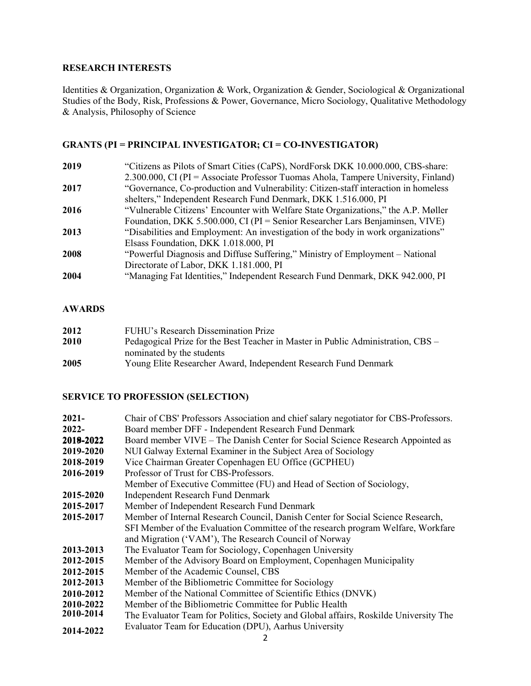### **RESEARCH INTERESTS**

Identities & Organization, Organization & Work, Organization & Gender, Sociological & Organizational Studies of the Body, Risk, Professions & Power, Governance, Micro Sociology, Qualitative Methodology & Analysis, Philosophy of Science

# **GRANTS (PI = PRINCIPAL INVESTIGATOR; CI = CO-INVESTIGATOR)**

| 2019 | "Citizens as Pilots of Smart Cities (CaPS), NordForsk DKK 10.000.000, CBS-share:    |
|------|-------------------------------------------------------------------------------------|
|      | 2.300.000, CI (PI = Associate Professor Tuomas Ahola, Tampere University, Finland)  |
| 2017 | "Governance, Co-production and Vulnerability: Citizen-staff interaction in homeless |
|      | shelters," Independent Research Fund Denmark, DKK 1.516.000, PI                     |
| 2016 | "Vulnerable Citizens' Encounter with Welfare State Organizations," the A.P. Møller  |
|      | Foundation, DKK 5.500.000, CI (PI = Senior Researcher Lars Benjaminsen, VIVE)       |
| 2013 | "Disabilities and Employment: An investigation of the body in work organizations"   |
|      | Elsass Foundation, DKK 1.018.000, PI                                                |
| 2008 | "Powerful Diagnosis and Diffuse Suffering," Ministry of Employment – National       |
|      | Directorate of Labor, DKK 1.181.000, PI                                             |
| 2004 | "Managing Fat Identities," Independent Research Fund Denmark, DKK 942.000, PI       |
|      |                                                                                     |

### **AWARDS**

| 2012 | FUHU's Research Dissemination Prize                                              |
|------|----------------------------------------------------------------------------------|
| 2010 | Pedagogical Prize for the Best Teacher in Master in Public Administration, CBS – |
|      | nominated by the students                                                        |
| 2005 | Young Elite Researcher Award, Independent Research Fund Denmark                  |
|      |                                                                                  |

## **SERVICE TO PROFESSION (SELECTION)**

| $2021 -$  | Chair of CBS' Professors Association and chief salary negotiator for CBS-Professors. |  |
|-----------|--------------------------------------------------------------------------------------|--|
| 2022-     | Board member DFF - Independent Research Fund Denmark                                 |  |
| 2019-2022 | Board member VIVE – The Danish Center for Social Science Research Appointed as       |  |
| 2019-2020 | NUI Galway External Examiner in the Subject Area of Sociology                        |  |
| 2018-2019 | Vice Chairman Greater Copenhagen EU Office (GCPHEU)                                  |  |
| 2016-2019 | Professor of Trust for CBS-Professors.                                               |  |
|           | Member of Executive Committee (FU) and Head of Section of Sociology,                 |  |
| 2015-2020 | <b>Independent Research Fund Denmark</b>                                             |  |
| 2015-2017 | Member of Independent Research Fund Denmark                                          |  |
| 2015-2017 | Member of Internal Research Council, Danish Center for Social Science Research,      |  |
|           | SFI Member of the Evaluation Committee of the research program Welfare, Workfare     |  |
|           | and Migration ('VAM'), The Research Council of Norway                                |  |
| 2013-2013 | The Evaluator Team for Sociology, Copenhagen University                              |  |
| 2012-2015 | Member of the Advisory Board on Employment, Copenhagen Municipality                  |  |
| 2012-2015 | Member of the Academic Counsel, CBS                                                  |  |
| 2012-2013 | Member of the Bibliometric Committee for Sociology                                   |  |
| 2010-2012 | Member of the National Committee of Scientific Ethics (DNVK)                         |  |
| 2010-2022 | Member of the Bibliometric Committee for Public Health                               |  |
| 2010-2014 | The Evaluator Team for Politics, Society and Global affairs, Roskilde University The |  |
| 2014-2022 | Evaluator Team for Education (DPU), Aarhus University                                |  |
|           |                                                                                      |  |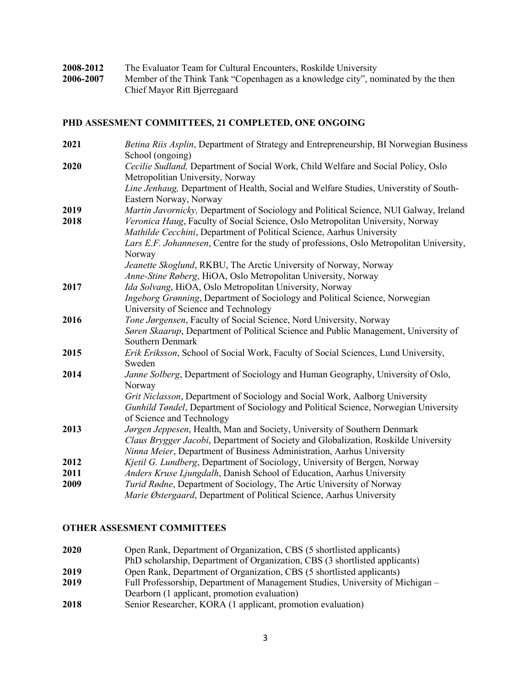| 2008-2012 | The Evaluator Team for Cultural Encounters, Roskilde University                  |
|-----------|----------------------------------------------------------------------------------|
| 2006-2007 | Member of the Think Tank "Copenhagen as a knowledge city", nominated by the then |
|           | Chief Mayor Ritt Bjerregaard                                                     |

# **PHD ASSESMENT COMMITTEES, 21 COMPLETED, ONE ONGOING**

| 2021 | Betina Riis Asplin, Department of Strategy and Entrepreneurship, BI Norwegian Business<br>School (ongoing) |
|------|------------------------------------------------------------------------------------------------------------|
| 2020 | Cecilie Sudland, Department of Social Work, Child Welfare and Social Policy, Oslo                          |
|      | Metropolitian University, Norway                                                                           |
|      | Line Jenhaug, Department of Health, Social and Welfare Studies, Universtity of South-                      |
|      | Eastern Norway, Norway                                                                                     |
| 2019 | Martin Javornicky, Department of Sociology and Political Science, NUI Galway, Ireland                      |
| 2018 | Veronica Haug, Faculty of Social Science, Oslo Metropolitan University, Norway                             |
|      | Mathilde Cecchini, Department of Political Science, Aarhus University                                      |
|      | Lars E.F. Johannesen, Centre for the study of professions, Oslo Metropolitan University,                   |
|      | Norway                                                                                                     |
|      | Jeanette Skoglund, RKBU, The Arctic University of Norway, Norway                                           |
|      | Anne-Stine Røberg, HiOA, Oslo Metropolitan University, Norway                                              |
| 2017 | Ida Solvang, HiOA, Oslo Metropolitan University, Norway                                                    |
|      | Ingeborg Grønning, Department of Sociology and Political Science, Norwegian                                |
|      | University of Science and Technology                                                                       |
| 2016 | Tone Jørgensen, Faculty of Social Science, Nord University, Norway                                         |
|      | Søren Skaarup, Department of Political Science and Public Management, University of                        |
|      | Southern Denmark                                                                                           |
| 2015 | Erik Eriksson, School of Social Work, Faculty of Social Sciences, Lund University,                         |
|      | Sweden                                                                                                     |
| 2014 | Janne Solberg, Department of Sociology and Human Geography, University of Oslo,<br>Norway                  |
|      | Grit Niclasson, Department of Sociology and Social Work, Aalborg University                                |
|      | Gunhild Tøndel, Department of Sociology and Political Science, Norwegian University                        |
|      | of Science and Technology                                                                                  |
| 2013 | Jørgen Jeppesen, Health, Man and Society, University of Southern Denmark                                   |
|      | Claus Brygger Jacobi, Department of Society and Globalization, Roskilde University                         |
|      | Ninna Meier, Department of Business Administration, Aarhus University                                      |
| 2012 | Kjetil G. Lundberg, Department of Sociology, University of Bergen, Norway                                  |
| 2011 | Anders Kruse Ljungdalh, Danish School of Education, Aarhus University                                      |
| 2009 | Turid Rødne, Department of Sociology, The Artic University of Norway                                       |
|      | Marie Østergaard, Department of Political Science, Aarhus University                                       |
|      |                                                                                                            |

# **OTHER ASSESMENT COMMITTEES**

| 2020  | Open Rank, Department of Organization, CBS (5 shortlisted applicants)          |
|-------|--------------------------------------------------------------------------------|
|       | PhD scholarship, Department of Organization, CBS (3 shortlisted applicants)    |
| 2019  | Open Rank, Department of Organization, CBS (5 shortlisted applicants)          |
| 2019  | Full Professorship, Department of Management Studies, University of Michigan – |
|       | Dearborn (1 applicant, promotion evaluation)                                   |
| 901 Q | Senior Desegrable $KOD A$ (1 evaluation evaluation)                            |

**2018** Senior Researcher, KORA (1 applicant, promotion evaluation)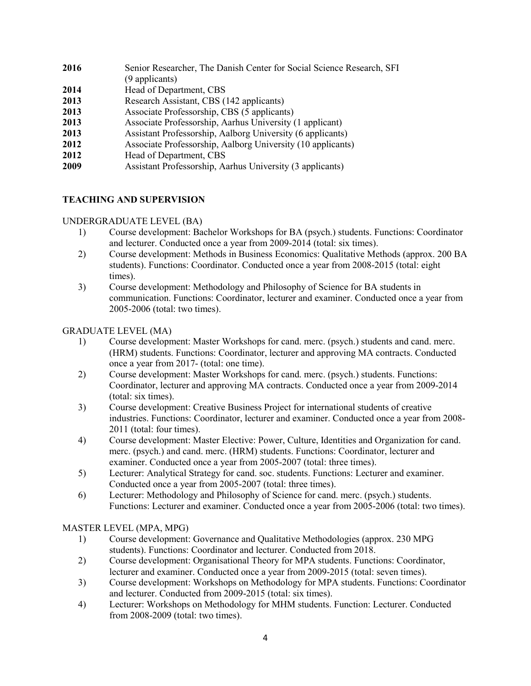| 2016 | Senior Researcher, The Danish Center for Social Science Research, SFI<br>(9 applicants) |
|------|-----------------------------------------------------------------------------------------|
| 2014 | Head of Department, CBS                                                                 |
| 2013 | Research Assistant, CBS (142 applicants)                                                |
| 2013 | Associate Professorship, CBS (5 applicants)                                             |
| 2013 | Associate Professorship, Aarhus University (1 applicant)                                |
| 2013 | Assistant Professorship, Aalborg University (6 applicants)                              |
| 2012 | Associate Professorship, Aalborg University (10 applicants)                             |
| 2012 | Head of Department, CBS                                                                 |
| 2009 | Assistant Professorship, Aarhus University (3 applicants)                               |

### **TEACHING AND SUPERVISION**

#### UNDERGRADUATE LEVEL (BA)

- 1) Course development: Bachelor Workshops for BA (psych.) students. Functions: Coordinator and lecturer. Conducted once a year from 2009-2014 (total: six times).
- 2) Course development: Methods in Business Economics: Qualitative Methods (approx. 200 BA students). Functions: Coordinator. Conducted once a year from 2008-2015 (total: eight times).
- 3) Course development: Methodology and Philosophy of Science for BA students in communication. Functions: Coordinator, lecturer and examiner. Conducted once a year from 2005-2006 (total: two times).

#### GRADUATE LEVEL (MA)

- 1) Course development: Master Workshops for cand. merc. (psych.) students and cand. merc. (HRM) students. Functions: Coordinator, lecturer and approving MA contracts. Conducted once a year from 2017- (total: one time).
- 2) Course development: Master Workshops for cand. merc. (psych.) students. Functions: Coordinator, lecturer and approving MA contracts. Conducted once a year from 2009-2014 (total: six times).
- 3) Course development: Creative Business Project for international students of creative industries. Functions: Coordinator, lecturer and examiner. Conducted once a year from 2008- 2011 (total: four times).
- 4) Course development: Master Elective: Power, Culture, Identities and Organization for cand. merc. (psych.) and cand. merc. (HRM) students. Functions: Coordinator, lecturer and examiner. Conducted once a year from 2005-2007 (total: three times).
- 5) Lecturer: Analytical Strategy for cand. soc. students. Functions: Lecturer and examiner. Conducted once a year from 2005-2007 (total: three times).
- 6) Lecturer: Methodology and Philosophy of Science for cand. merc. (psych.) students. Functions: Lecturer and examiner. Conducted once a year from 2005-2006 (total: two times).

#### MASTER LEVEL (MPA, MPG)

- 1) Course development: Governance and Qualitative Methodologies (approx. 230 MPG students). Functions: Coordinator and lecturer. Conducted from 2018.
- 2) Course development: Organisational Theory for MPA students. Functions: Coordinator, lecturer and examiner. Conducted once a year from 2009-2015 (total: seven times).
- 3) Course development: Workshops on Methodology for MPA students. Functions: Coordinator and lecturer. Conducted from 2009-2015 (total: six times).
- 4) Lecturer: Workshops on Methodology for MHM students. Function: Lecturer. Conducted from 2008-2009 (total: two times).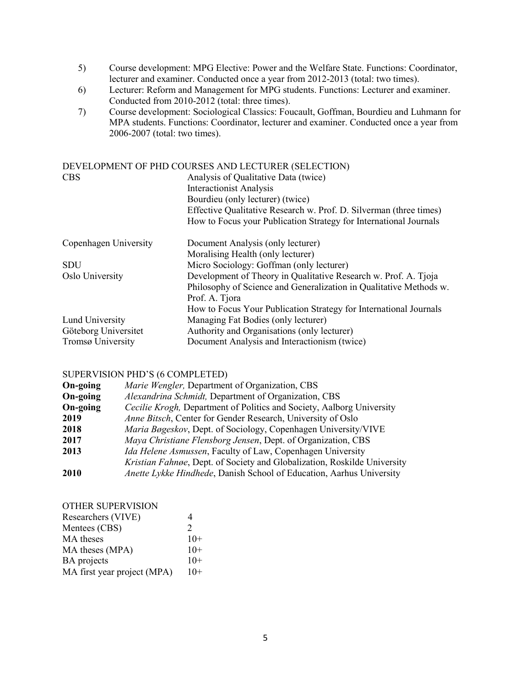- 5) Course development: MPG Elective: Power and the Welfare State. Functions: Coordinator, lecturer and examiner. Conducted once a year from 2012-2013 (total: two times).
- 6) Lecturer: Reform and Management for MPG students. Functions: Lecturer and examiner. Conducted from 2010-2012 (total: three times).
- 7) Course development: Sociological Classics: Foucault, Goffman, Bourdieu and Luhmann for MPA students. Functions: Coordinator, lecturer and examiner. Conducted once a year from 2006-2007 (total: two times).

| DEVELOPMENT OF PHD COURSES AND LECTURER (SELECTION) |                                                                    |  |
|-----------------------------------------------------|--------------------------------------------------------------------|--|
| <b>CBS</b>                                          | Analysis of Qualitative Data (twice)                               |  |
|                                                     | <b>Interactionist Analysis</b>                                     |  |
|                                                     | Bourdieu (only lecturer) (twice)                                   |  |
|                                                     | Effective Qualitative Research w. Prof. D. Silverman (three times) |  |
|                                                     | How to Focus your Publication Strategy for International Journals  |  |
| Copenhagen University                               | Document Analysis (only lecturer)                                  |  |
|                                                     | Moralising Health (only lecturer)                                  |  |
| <b>SDU</b>                                          | Micro Sociology: Goffman (only lecturer)                           |  |
| Oslo University                                     | Development of Theory in Qualitative Research w. Prof. A. Tjoja    |  |
|                                                     | Philosophy of Science and Generalization in Qualitative Methods w. |  |
|                                                     | Prof. A. Tjora                                                     |  |
|                                                     | How to Focus Your Publication Strategy for International Journals  |  |
| Lund University                                     | Managing Fat Bodies (only lecturer)                                |  |
| Göteborg Universitet                                | Authority and Organisations (only lecturer)                        |  |
| Tromsø University                                   | Document Analysis and Interactionism (twice)                       |  |

#### SUPERVISION PHD'S (6 COMPLETED)

| On-going | Marie Wengler, Department of Organization, CBS                           |
|----------|--------------------------------------------------------------------------|
| On-going | Alexandrina Schmidt, Department of Organization, CBS                     |
| On-going | Cecilie Krogh, Department of Politics and Society, Aalborg University    |
| 2019     | Anne Bitsch, Center for Gender Research, University of Oslo              |
| 2018     | Maria Bøgeskov, Dept. of Sociology, Copenhagen University/VIVE           |
| 2017     | Maya Christiane Flensborg Jensen, Dept. of Organization, CBS             |
| 2013     | Ida Helene Asmussen, Faculty of Law, Copenhagen University               |
|          | Kristian Fahnøe, Dept. of Society and Globalization, Roskilde University |
| 2010     | Anette Lykke Hindhede, Danish School of Education, Aarhus University     |
|          |                                                                          |

### OTHER SUPERVISION Researchers (VIVE) 4

| Mentees (CBS)               |       |
|-----------------------------|-------|
| MA theses                   | $10+$ |
| MA theses (MPA)             | $10+$ |
| <b>BA</b> projects          | $10+$ |
| MA first year project (MPA) | $10+$ |
|                             |       |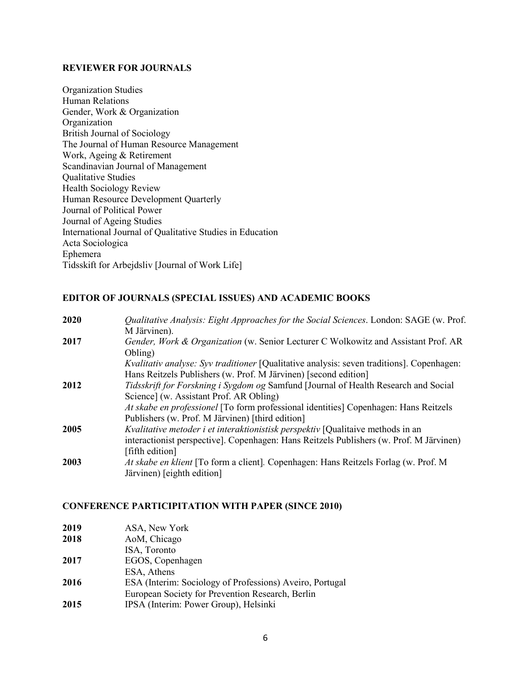#### **REVIEWER FOR JOURNALS**

Organization Studies Human Relations Gender, Work & Organization Organization British Journal of Sociology The Journal of Human Resource Management Work, Ageing & Retirement Scandinavian Journal of Management Qualitative Studies Health Sociology Review Human Resource Development Quarterly Journal of Political Power Journal of Ageing Studies International Journal of Qualitative Studies in Education Acta Sociologica Ephemera Tidsskift for Arbejdsliv [Journal of Work Life]

### **EDITOR OF JOURNALS (SPECIAL ISSUES) AND ACADEMIC BOOKS**

| 2020 | Qualitative Analysis: Eight Approaches for the Social Sciences. London: SAGE (w. Prof.<br>M Järvinen).                                                                     |
|------|----------------------------------------------------------------------------------------------------------------------------------------------------------------------------|
| 2017 | Gender, Work & Organization (w. Senior Lecturer C Wolkowitz and Assistant Prof. AR<br>Obling)                                                                              |
|      | <i>Kvalitativ analyse: Syv traditioner</i> [Qualitative analysis: seven traditions]. Copenhagen:<br>Hans Reitzels Publishers (w. Prof. M Järvinen) [second edition]        |
| 2012 | Tidsskrift for Forskning i Sygdom og Samfund [Journal of Health Research and Social<br>Science] (w. Assistant Prof. AR Obling)                                             |
|      | At skabe en professionel [To form professional identities] Copenhagen: Hans Reitzels<br>Publishers (w. Prof. M Järvinen) [third edition]                                   |
| 2005 | Kvalitative metoder i et interaktionistisk perspektiv [Qualitaive methods in an<br>interactionist perspective]. Copenhagen: Hans Reitzels Publishers (w. Prof. M Järvinen) |
|      | [fifth edition]                                                                                                                                                            |
| 2003 | At skabe en klient [To form a client]. Copenhagen: Hans Reitzels Forlag (w. Prof. M<br>Järvinen) [eighth edition]                                                          |

#### **CONFERENCE PARTICIPITATION WITH PAPER (SINCE 2010)**

| 2019 | ASA, New York                                            |
|------|----------------------------------------------------------|
| 2018 | AoM, Chicago                                             |
|      | ISA, Toronto                                             |
| 2017 | EGOS, Copenhagen                                         |
|      | ESA, Athens                                              |
| 2016 | ESA (Interim: Sociology of Professions) Aveiro, Portugal |
|      | European Society for Prevention Research, Berlin         |
| 2015 | IPSA (Interim: Power Group), Helsinki                    |
|      |                                                          |